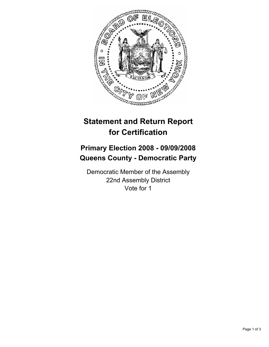

## **Statement and Return Report for Certification**

## **Primary Election 2008 - 09/09/2008 Queens County - Democratic Party**

Democratic Member of the Assembly 22nd Assembly District Vote for 1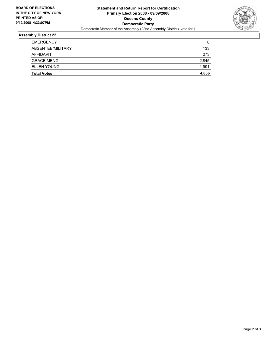

## **Assembly District 22**

| <b>Total Votes</b> | 4,836 |
|--------------------|-------|
| <b>ELLEN YOUNG</b> | 1,991 |
| <b>GRACE MENG</b>  | 2,845 |
| AFFIDAVIT          | 273   |
| ABSENTEE/MILITARY  | 133   |
| <b>EMERGENCY</b>   | 0     |